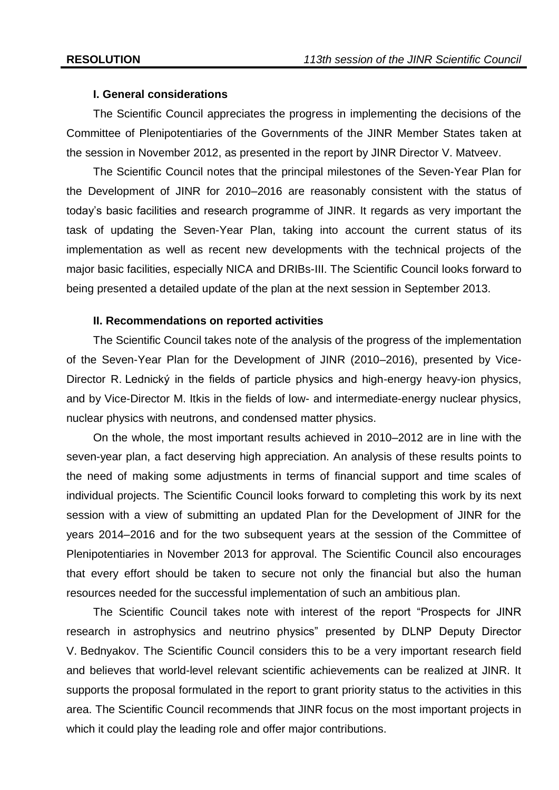### **I. General considerations**

The Scientific Council appreciates the progress in implementing the decisions of the Committee of Plenipotentiaries of the Governments of the JINR Member States taken at the session in November 2012, as presented in the report by JINR Director V. Matveev.

The Scientific Council notes that the principal milestones of the Seven-Year Plan for the Development of JINR for 2010–2016 are reasonably consistent with the status of today's basic facilities and research programme of JINR. It regards as very important the task of updating the Seven-Year Plan, taking into account the current status of its implementation as well as recent new developments with the technical projects of the major basic facilities, especially NICA and DRIBs-III. The Scientific Council looks forward to being presented a detailed update of the plan at the next session in September 2013.

#### **II. Recommendations on reported activities**

The Scientific Council takes note of the analysis of the progress of the implementation of the Seven-Year Plan for the Development of JINR (2010–2016), presented by Vice-Director R. Lednický in the fields of particle physics and high-energy heavy-ion physics, and by Vice-Director M. Itkis in the fields of low- and intermediate-energy nuclear physics, nuclear physics with neutrons, and condensed matter physics.

On the whole, the most important results achieved in 2010–2012 are in line with the seven-year plan, a fact deserving high appreciation. An analysis of these results points to the need of making some adjustments in terms of financial support and time scales of individual projects. The Scientific Council looks forward to completing this work by its next session with a view of submitting an updated Plan for the Development of JINR for the years 2014–2016 and for the two subsequent years at the session of the Committee of Plenipotentiaries in November 2013 for approval. The Scientific Council also encourages that every effort should be taken to secure not only the financial but also the human resources needed for the successful implementation of such an ambitious plan.

The Scientific Council takes note with interest of the report "Prospects for JINR research in astrophysics and neutrino physics" presented by DLNP Deputy Director V. Bednyakov. The Scientific Council considers this to be a very important research field and believes that world-level relevant scientific achievements can be realized at JINR. It supports the proposal formulated in the report to grant priority status to the activities in this area. The Scientific Council recommends that JINR focus on the most important projects in which it could play the leading role and offer major contributions.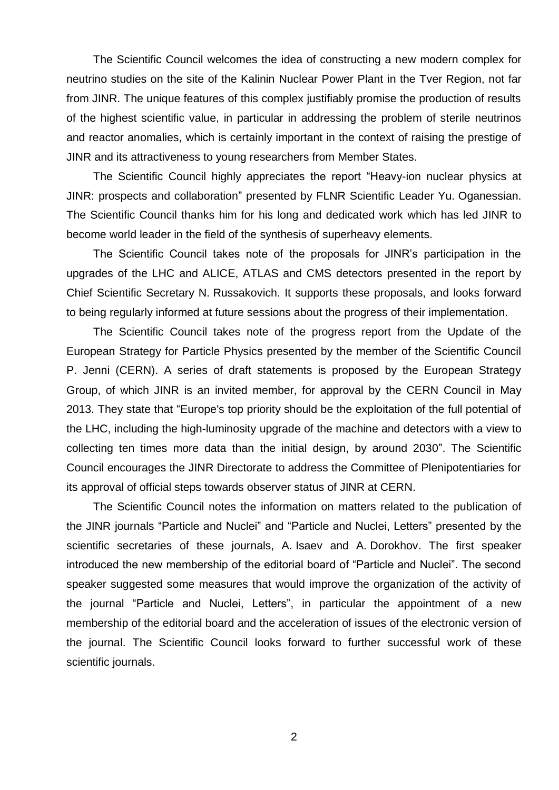The Scientific Council welcomes the idea of constructing a new modern complex for neutrino studies on the site of the Kalinin Nuclear Power Plant in the Tver Region, not far from JINR. The unique features of this complex justifiably promise the production of results of the highest scientific value, in particular in addressing the problem of sterile neutrinos and reactor anomalies, which is certainly important in the context of raising the prestige of JINR and its attractiveness to young researchers from Member States.

The Scientific Council highly appreciates the report "Heavy-ion nuclear physics at JINR: prospects and collaboration" presented by FLNR Scientific Leader Yu. Oganessian. The Scientific Council thanks him for his long and dedicated work which has led JINR to become world leader in the field of the synthesis of superheavy elements.

The Scientific Council takes note of the proposals for JINR's participation in the upgrades of the LHC and ALICE, ATLAS and CMS detectors presented in the report by Chief Scientific Secretary N. Russakovich. It supports these proposals, and looks forward to being regularly informed at future sessions about the progress of their implementation.

The Scientific Council takes note of the progress report from the Update of the European Strategy for Particle Physics presented by the member of the Scientific Council P. Jenni (CERN). A series of draft statements is proposed by the European Strategy Group, of which JINR is an invited member, for approval by the CERN Council in May 2013. They state that "Europe's top priority should be the exploitation of the full potential of the LHC, including the high-luminosity upgrade of the machine and detectors with a view to collecting ten times more data than the initial design, by around 2030". The Scientific Council encourages the JINR Directorate to address the Committee of Plenipotentiaries for its approval of official steps towards observer status of JINR at CERN.

The Scientific Council notes the information on matters related to the publication of the JINR journals "Particle and Nuclei" and "Particle and Nuclei, Letters" presented by the scientific secretaries of these journals, A. Isaev and A. Dorokhov. The first speaker introduced the new membership of the editorial board of "Particle and Nuclei". The second speaker suggested some measures that would improve the organization of the activity of the journal "Particle and Nuclei, Letters", in particular the appointment of a new membership of the editorial board and the acceleration of issues of the electronic version of the journal. The Scientific Council looks forward to further successful work of these scientific journals.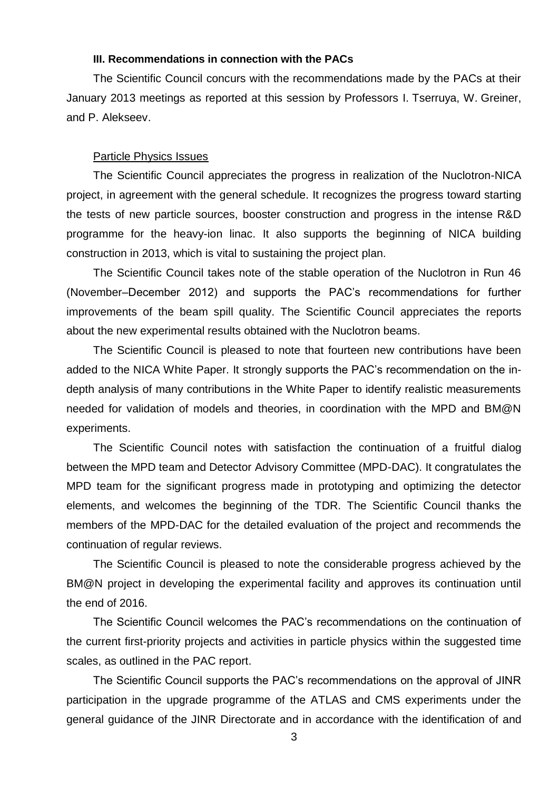### **III. Recommendations in connection with the PACs**

The Scientific Council concurs with the recommendations made by the PACs at their January 2013 meetings as reported at this session by Professors I. Tserruya, W. Greiner, and P. Alekseev.

#### Particle Physics Issues

The Scientific Council appreciates the progress in realization of the Nuclotron-NICA project, in agreement with the general schedule. It recognizes the progress toward starting the tests of new particle sources, booster construction and progress in the intense R&D programme for the heavy-ion linac. It also supports the beginning of NICA building construction in 2013, which is vital to sustaining the project plan.

The Scientific Council takes note of the stable operation of the Nuclotron in Run 46 (November–December 2012) and supports the PAC's recommendations for further improvements of the beam spill quality. The Scientific Council appreciates the reports about the new experimental results obtained with the Nuclotron beams.

The Scientific Council is pleased to note that fourteen new contributions have been added to the NICA White Paper. It strongly supports the PAC's recommendation on the indepth analysis of many contributions in the White Paper to identify realistic measurements needed for validation of models and theories, in coordination with the MPD and BM@N experiments.

The Scientific Council notes with satisfaction the continuation of a fruitful dialog between the MPD team and Detector Advisory Committee (MPD-DAC). It congratulates the MPD team for the significant progress made in prototyping and optimizing the detector elements, and welcomes the beginning of the TDR. The Scientific Council thanks the members of the MPD-DAC for the detailed evaluation of the project and recommends the continuation of regular reviews.

The Scientific Council is pleased to note the considerable progress achieved by the BM@N project in developing the experimental facility and approves its continuation until the end of 2016.

The Scientific Council welcomes the PAC's recommendations on the continuation of the current first-priority projects and activities in particle physics within the suggested time scales, as outlined in the PAC report.

The Scientific Council supports the PAC's recommendations on the approval of JINR participation in the upgrade programme of the ATLAS and CMS experiments under the general guidance of the JINR Directorate and in accordance with the identification of and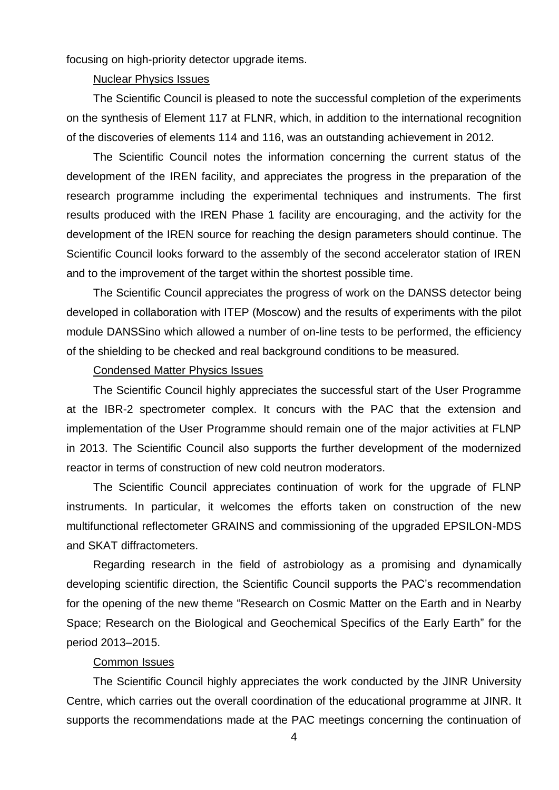focusing on high-priority detector upgrade items.

# Nuclear Physics Issues

The Scientific Council is pleased to note the successful completion of the experiments on the synthesis of Element 117 at FLNR, which, in addition to the international recognition of the discoveries of elements 114 and 116, was an outstanding achievement in 2012.

The Scientific Council notes the information concerning the current status of the development of the IREN facility, and appreciates the progress in the preparation of the research programme including the experimental techniques and instruments. The first results produced with the IREN Phase 1 facility are encouraging, and the activity for the development of the IREN source for reaching the design parameters should continue. The Scientific Council looks forward to the assembly of the second accelerator station of IREN and to the improvement of the target within the shortest possible time.

The Scientific Council appreciates the progress of work on the DANSS detector being developed in collaboration with ITEP (Moscow) and the results of experiments with the pilot module DANSSino which allowed a number of on-line tests to be performed, the efficiency of the shielding to be checked and real background conditions to be measured.

### Condensed Matter Physics Issues

The Scientific Council highly appreciates the successful start of the User Programme at the IBR-2 spectrometer complex. It concurs with the PAC that the extension and implementation of the User Programme should remain one of the major activities at FLNP in 2013. The Scientific Council also supports the further development of the modernized reactor in terms of construction of new cold neutron moderators.

The Scientific Council appreciates continuation of work for the upgrade of FLNP instruments. In particular, it welcomes the efforts taken on construction of the new multifunctional reflectometer GRAINS and commissioning of the upgraded EPSILON-MDS and SKAT diffractometers.

Regarding research in the field of astrobiology as a promising and dynamically developing scientific direction, the Scientific Council supports the PAC's recommendation for the opening of the new theme "Research on Cosmic Matter on the Earth and in Nearby Space; Research on the Biological and Geochemical Specifics of the Early Earth" for the period 2013–2015.

## Common Issues

The Scientific Council highly appreciates the work conducted by the JINR University Centre, which carries out the overall coordination of the educational programme at JINR. It supports the recommendations made at the PAC meetings concerning the continuation of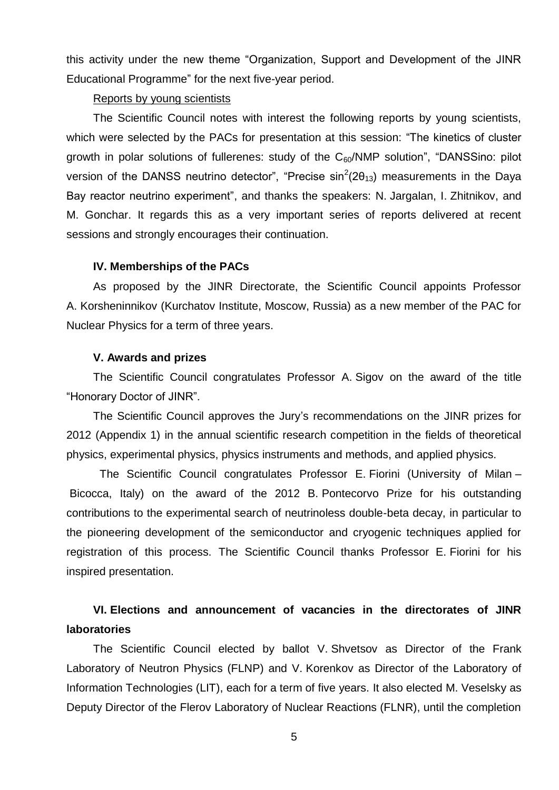this activity under the new theme "Organization, Support and Development of the JINR Educational Programme" for the next five-year period.

# Reports by young scientists

The Scientific Council notes with interest the following reports by young scientists, which were selected by the PACs for presentation at this session: "The kinetics of cluster growth in polar solutions of fullerenes: study of the  $C_{60}/NMP$  solution", "DANSSino: pilot version of the DANSS neutrino detector", "Precise  $sin^2(2\theta_{13})$  measurements in the Daya Bay reactor neutrino experiment", and thanks the speakers: N. Jargalan, I. Zhitnikov, and M. Gonchar. It regards this as a very important series of reports delivered at recent sessions and strongly encourages their continuation.

### **IV. Memberships of the PACs**

As proposed by the JINR Directorate, the Scientific Council appoints Professor A. Korsheninnikov (Kurchatov Institute, Moscow, Russia) as a new member of the PAC for Nuclear Physics for a term of three years.

### **V. Awards and prizes**

The Scientific Council congratulates Professor A. Sigov on the award of the title "Honorary Doctor of JINR".

The Scientific Council approves the Jury's recommendations on the JINR prizes for 2012 (Appendix 1) in the annual scientific research competition in the fields of theoretical physics, experimental physics, physics instruments and methods, and applied physics.

The Scientific Council congratulates Professor E. Fiorini (University of Milan – Bicocca, Italy) on the award of the 2012 B. Pontecorvo Prize for his outstanding contributions to the experimental search of neutrinoless double-beta decay, in particular to the pioneering development of the semiconductor and cryogenic techniques applied for registration of this process. The Scientific Council thanks Professor E. Fiorini for his inspired presentation.

# **VI. Elections and announcement of vacancies in the directorates of JINR laboratories**

The Scientific Council elected by ballot V. Shvetsov as Director of the Frank Laboratory of Neutron Physics (FLNP) and V. Korenkov as Director of the Laboratory of Information Technologies (LIT), each for a term of five years. It also elected M. Veselsky as Deputy Director of the Flerov Laboratory of Nuclear Reactions (FLNR), until the completion